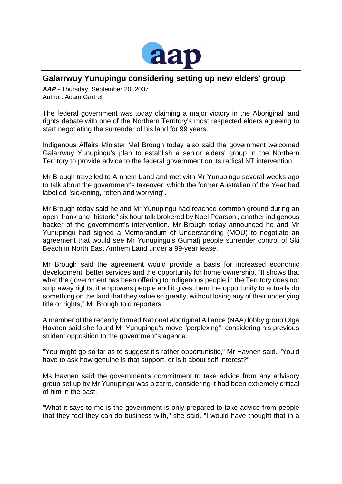

## **Galarrwuy Yunupingu considering setting up new elders' group**

*AAP* - Thursday, September 20, 2007 Author: Adam Gartrell

The federal government was today claiming a major victory in the Aboriginal land rights debate with one of the Northern Territory's most respected elders agreeing to start negotiating the surrender of his land for 99 years.

Indigenous Affairs Minister Mal Brough today also said the government welcomed Galarrwuy Yunupingu's plan to establish a senior elders' group in the Northern Territory to provide advice to the federal government on its radical NT intervention.

Mr Brough travelled to Arnhem Land and met with Mr Yunupingu several weeks ago to talk about the government's takeover, which the former Australian of the Year had labelled "sickening, rotten and worrying".

Mr Brough today said he and Mr Yunupingu had reached common ground during an open, frank and "historic" six hour talk brokered by Noel Pearson , another indigenous backer of the government's intervention. Mr Brough today announced he and Mr Yunupingu had signed a Memorandum of Understanding (MOU) to negotiate an agreement that would see Mr Yunupingu's Gumatj people surrender control of Ski Beach in North East Arnhem Land under a 99-year lease.

Mr Brough said the agreement would provide a basis for increased economic development, better services and the opportunity for home ownership. "It shows that what the government has been offering to indigenous people in the Territory does not strip away rights, it empowers people and it gives them the opportunity to actually do something on the land that they value so greatly, without losing any of their underlying title or rights," Mr Brough told reporters.

A member of the recently formed National Aboriginal Alliance (NAA) lobby group Olga Havnen said she found Mr Yunupingu's move "perplexing", considering his previous strident opposition to the government's agenda.

"You might go so far as to suggest it's rather opportunistic," Mr Havnen said. "You'd have to ask how genuine is that support, or is it about self-interest?"

Ms Havnen said the government's commitment to take advice from any advisory group set up by Mr Yunupingu was bizarre, considering it had been extremely critical of him in the past.

"What it says to me is the government is only prepared to take advice from people that they feel they can do business with," she said. "I would have thought that in a